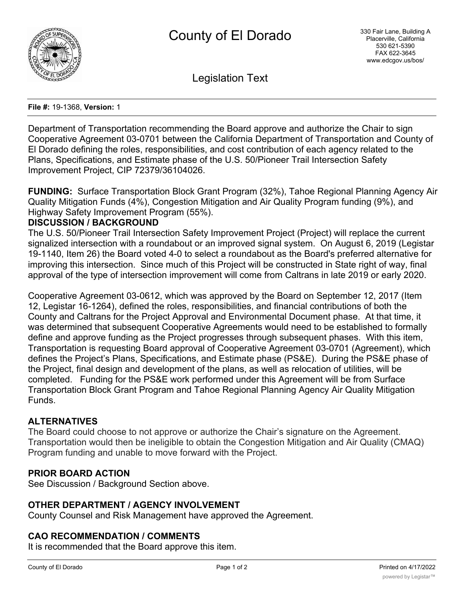

Legislation Text

#### **File #:** 19-1368, **Version:** 1

Department of Transportation recommending the Board approve and authorize the Chair to sign Cooperative Agreement 03-0701 between the California Department of Transportation and County of El Dorado defining the roles, responsibilities, and cost contribution of each agency related to the Plans, Specifications, and Estimate phase of the U.S. 50/Pioneer Trail Intersection Safety Improvement Project, CIP 72379/36104026.

**FUNDING:** Surface Transportation Block Grant Program (32%), Tahoe Regional Planning Agency Air Quality Mitigation Funds (4%), Congestion Mitigation and Air Quality Program funding (9%), and Highway Safety Improvement Program (55%).

## **DISCUSSION / BACKGROUND**

The U.S. 50/Pioneer Trail Intersection Safety Improvement Project (Project) will replace the current signalized intersection with a roundabout or an improved signal system. On August 6, 2019 (Legistar 19-1140, Item 26) the Board voted 4-0 to select a roundabout as the Board's preferred alternative for improving this intersection. Since much of this Project will be constructed in State right of way, final approval of the type of intersection improvement will come from Caltrans in late 2019 or early 2020.

Cooperative Agreement 03-0612, which was approved by the Board on September 12, 2017 (Item 12, Legistar 16-1264), defined the roles, responsibilities, and financial contributions of both the County and Caltrans for the Project Approval and Environmental Document phase. At that time, it was determined that subsequent Cooperative Agreements would need to be established to formally define and approve funding as the Project progresses through subsequent phases. With this item, Transportation is requesting Board approval of Cooperative Agreement 03-0701 (Agreement), which defines the Project's Plans, Specifications, and Estimate phase (PS&E). During the PS&E phase of the Project, final design and development of the plans, as well as relocation of utilities, will be completed. Funding for the PS&E work performed under this Agreement will be from Surface Transportation Block Grant Program and Tahoe Regional Planning Agency Air Quality Mitigation Funds.

# **ALTERNATIVES**

The Board could choose to not approve or authorize the Chair's signature on the Agreement. Transportation would then be ineligible to obtain the Congestion Mitigation and Air Quality (CMAQ) Program funding and unable to move forward with the Project.

# **PRIOR BOARD ACTION**

See Discussion / Background Section above.

### **OTHER DEPARTMENT / AGENCY INVOLVEMENT**

County Counsel and Risk Management have approved the Agreement.

### **CAO RECOMMENDATION / COMMENTS**

It is recommended that the Board approve this item.